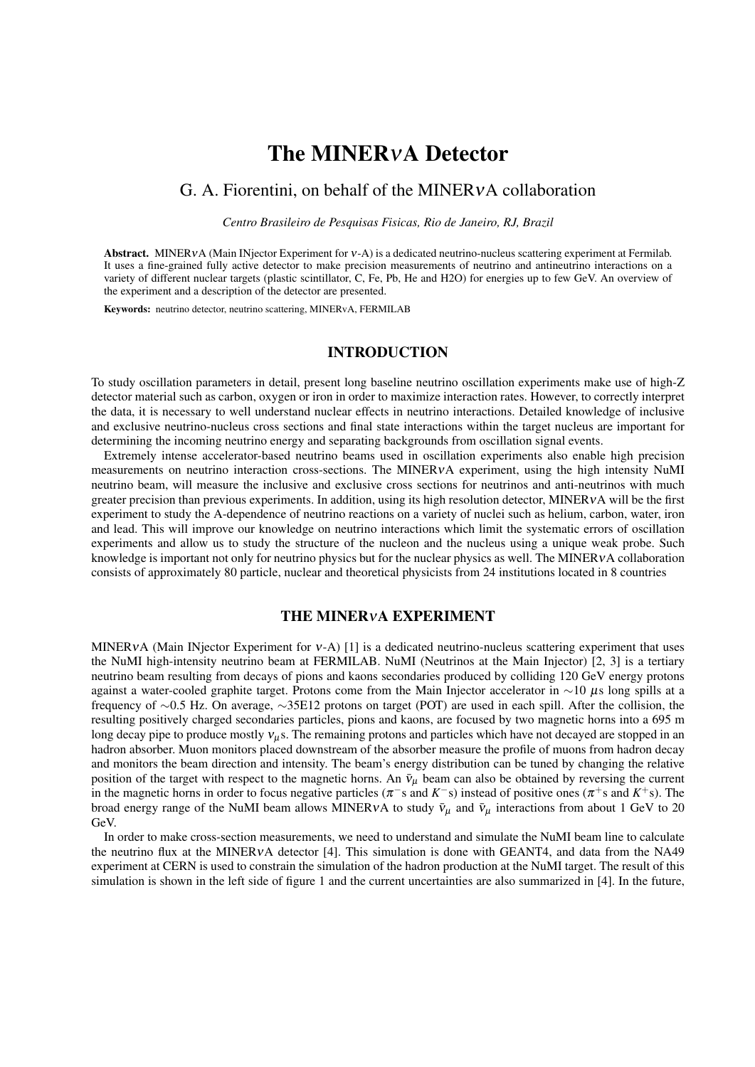# The MINERνA Detector

# G. A. Fiorentini, on behalf of the MINERνA collaboration

*Centro Brasileiro de Pesquisas Fisicas, Rio de Janeiro, RJ, Brazil*

Abstract. MINERνA (Main INjector Experiment for ν-A) is a dedicated neutrino-nucleus scattering experiment at Fermilab. It uses a fine-grained fully active detector to make precision measurements of neutrino and antineutrino interactions on a variety of different nuclear targets (plastic scintillator, C, Fe, Pb, He and H2O) for energies up to few GeV. An overview of the experiment and a description of the detector are presented.

Keywords: neutrino detector, neutrino scattering, MINERvA, FERMILAB

# INTRODUCTION

To study oscillation parameters in detail, present long baseline neutrino oscillation experiments make use of high-Z detector material such as carbon, oxygen or iron in order to maximize interaction rates. However, to correctly interpret the data, it is necessary to well understand nuclear effects in neutrino interactions. Detailed knowledge of inclusive and exclusive neutrino-nucleus cross sections and final state interactions within the target nucleus are important for determining the incoming neutrino energy and separating backgrounds from oscillation signal events.

Extremely intense accelerator-based neutrino beams used in oscillation experiments also enable high precision measurements on neutrino interaction cross-sections. The MINERνA experiment, using the high intensity NuMI neutrino beam, will measure the inclusive and exclusive cross sections for neutrinos and anti-neutrinos with much greater precision than previous experiments. In addition, using its high resolution detector, MINERVA will be the first experiment to study the A-dependence of neutrino reactions on a variety of nuclei such as helium, carbon, water, iron and lead. This will improve our knowledge on neutrino interactions which limit the systematic errors of oscillation experiments and allow us to study the structure of the nucleon and the nucleus using a unique weak probe. Such knowledge is important not only for neutrino physics but for the nuclear physics as well. The MINERVA collaboration consists of approximately 80 particle, nuclear and theoretical physicists from 24 institutions located in 8 countries

#### THE MINERνA EXPERIMENT

MINERVA (Main INjector Experiment for  $v-A$ ) [1] is a dedicated neutrino-nucleus scattering experiment that uses the NuMI high-intensity neutrino beam at FERMILAB. NuMI (Neutrinos at the Main Injector) [2, 3] is a tertiary neutrino beam resulting from decays of pions and kaons secondaries produced by colliding 120 GeV energy protons against a water-cooled graphite target. Protons come from the Main Injector accelerator in ∼10 µs long spills at a frequency of ∼0.5 Hz. On average, ∼35E12 protons on target (POT) are used in each spill. After the collision, the resulting positively charged secondaries particles, pions and kaons, are focused by two magnetic horns into a 695 m long decay pipe to produce mostly  $v_{\mu}$ s. The remaining protons and particles which have not decayed are stopped in an hadron absorber. Muon monitors placed downstream of the absorber measure the profile of muons from hadron decay and monitors the beam direction and intensity. The beam's energy distribution can be tuned by changing the relative position of the target with respect to the magnetic horns. An  $\bar{v}_{\mu}$  beam can also be obtained by reversing the current in the magnetic horns in order to focus negative particles ( $\pi$ <sup>-</sup>s and  $K$ <sup>-</sup>s) instead of positive ones ( $\pi$ <sup>+</sup>s and  $K$ <sup>+</sup>s). The broad energy range of the NuMI beam allows MINERVA to study  $\bar{v}_{\mu}$  and  $\bar{v}_{\mu}$  interactions from about 1 GeV to 20 GeV.

In order to make cross-section measurements, we need to understand and simulate the NuMI beam line to calculate the neutrino flux at the MINERνA detector [4]. This simulation is done with GEANT4, and data from the NA49 experiment at CERN is used to constrain the simulation of the hadron production at the NuMI target. The result of this simulation is shown in the left side of figure 1 and the current uncertainties are also summarized in [4]. In the future,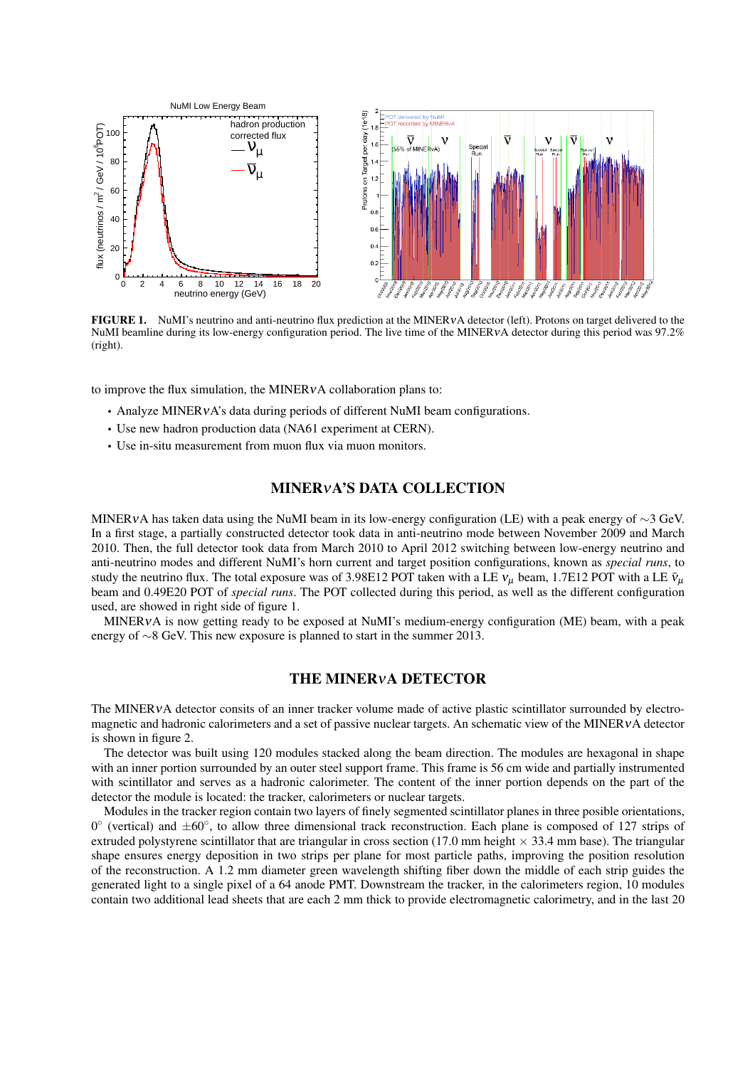

FIGURE 1. NuMI's neutrino and anti-neutrino flux prediction at the MINERVA detector (left). Protons on target delivered to the NuMI beamline during its low-energy configuration period. The live time of the MINERVA detector during this period was 97.2% (right).

to improve the flux simulation, the MINERνA collaboration plans to:

- Analyze MINERvA's data during periods of different NuMI beam configurations.
- Use new hadron production data (NA61 experiment at CERN).
- Use in-situ measurement from muon flux via muon monitors.

# MINERνA'S DATA COLLECTION

MINER∨A has taken data using the NuMI beam in its low-energy configuration (LE) with a peak energy of ∼3 GeV. In a first stage, a partially constructed detector took data in anti-neutrino mode between November 2009 and March 2010. Then, the full detector took data from March 2010 to April 2012 switching between low-energy neutrino and anti-neutrino modes and different NuMI's horn current and target position configurations, known as *special runs*, to study the neutrino flux. The total exposure was of 3.98E12 POT taken with a LE  $v_\mu$  beam, 1.7E12 POT with a LE  $\bar{v}_\mu$ beam and 0.49E20 POT of *special runs*. The POT collected during this period, as well as the different configuration used, are showed in right side of figure 1.

MINERνA is now getting ready to be exposed at NuMI's medium-energy configuration (ME) beam, with a peak energy of ∼8 GeV. This new exposure is planned to start in the summer 2013.

#### THE MINERνA DETECTOR

The MINERνA detector consits of an inner tracker volume made of active plastic scintillator surrounded by electromagnetic and hadronic calorimeters and a set of passive nuclear targets. An schematic view of the MINERVA detector is shown in figure 2.

The detector was built using 120 modules stacked along the beam direction. The modules are hexagonal in shape with an inner portion surrounded by an outer steel support frame. This frame is 56 cm wide and partially instrumented with scintillator and serves as a hadronic calorimeter. The content of the inner portion depends on the part of the detector the module is located: the tracker, calorimeters or nuclear targets.

Modules in the tracker region contain two layers of finely segmented scintillator planes in three posible orientations, 0° (vertical) and ±60°, to allow three dimensional track reconstruction. Each plane is composed of 127 strips of extruded polystyrene scintillator that are triangular in cross section (17.0 mm height  $\times$  33.4 mm base). The triangular shape ensures energy deposition in two strips per plane for most particle paths, improving the position resolution of the reconstruction. A 1.2 mm diameter green wavelength shifting fiber down the middle of each strip guides the generated light to a single pixel of a 64 anode PMT. Downstream the tracker, in the calorimeters region, 10 modules contain two additional lead sheets that are each 2 mm thick to provide electromagnetic calorimetry, and in the last 20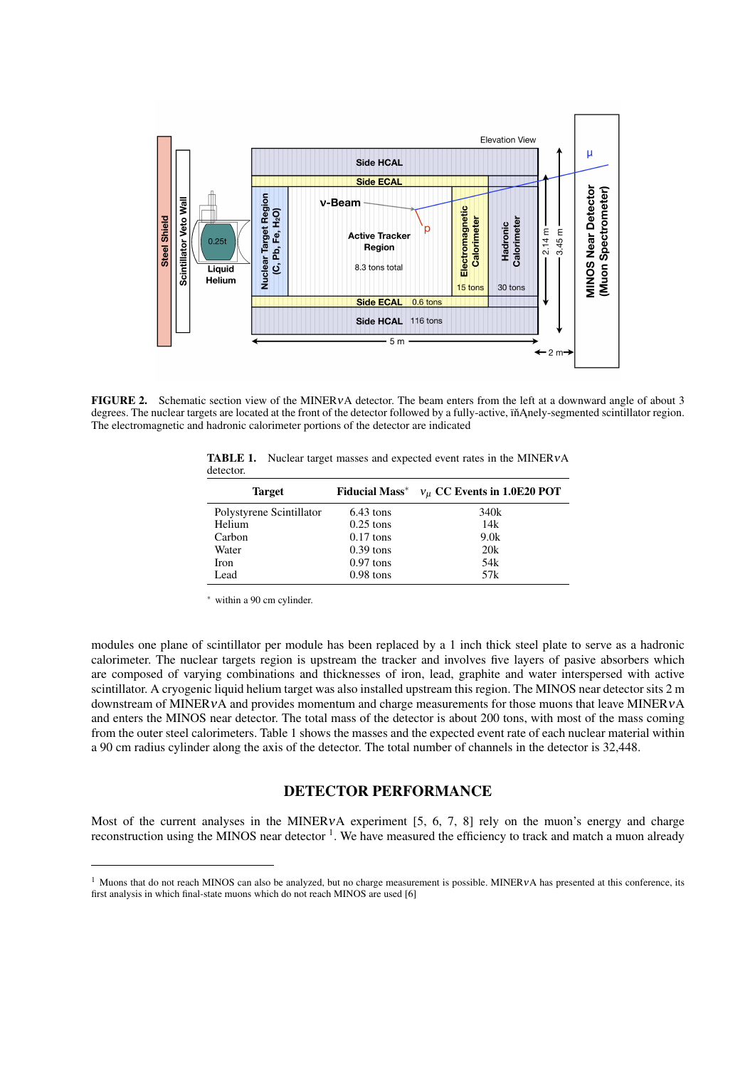

FIGURE 2. Schematic section view of the MINERVA detector. The beam enters from the left at a downward angle of about 3 degrees. The nuclear targets are located at the front of the detector followed by a fully-active, in Anely-segmented scintillator region. The electromagnetic and hadronic calorimeter portions of the detector are indicated

| <b>Target</b>            |             | Fiducial Mass <sup>*</sup> $v_{\mu}$ CC Events in 1.0E20 POT |
|--------------------------|-------------|--------------------------------------------------------------|
| Polystyrene Scintillator | $6.43$ tons | 340k                                                         |
| Helium                   | $0.25$ tons | 14k                                                          |
| Carbon                   | $0.17$ tons | 9.0k                                                         |
| Water                    | $0.39$ tons | 20k                                                          |
| <b>Iron</b>              | $0.97$ tons | 54k                                                          |
| Lead                     | $0.98$ tons | 57k                                                          |

TABLE 1. Nuclear target masses and expected event rates in the MINER<sub>vA</sub> detector.

<sup>∗</sup> within a 90 cm cylinder.

modules one plane of scintillator per module has been replaced by a 1 inch thick steel plate to serve as a hadronic calorimeter. The nuclear targets region is upstream the tracker and involves five layers of pasive absorbers which are composed of varying combinations and thicknesses of iron, lead, graphite and water interspersed with active scintillator. A cryogenic liquid helium target was also installed upstream this region. The MINOS near detector sits 2 m downstream of MINERνA and provides momentum and charge measurements for those muons that leave MINERνA and enters the MINOS near detector. The total mass of the detector is about 200 tons, with most of the mass coming from the outer steel calorimeters. Table 1 shows the masses and the expected event rate of each nuclear material within a 90 cm radius cylinder along the axis of the detector. The total number of channels in the detector is 32,448.

# DETECTOR PERFORMANCE

Most of the current analyses in the MINER<sub>V</sub>A experiment [5, 6, 7, 8] rely on the muon's energy and charge reconstruction using the MINOS near detector <sup>1</sup>. We have measured the efficiency to track and match a muon already

 $1$  Muons that do not reach MINOS can also be analyzed, but no charge measurement is possible. MINERVA has presented at this conference, its first analysis in which final-state muons which do not reach MINOS are used [6]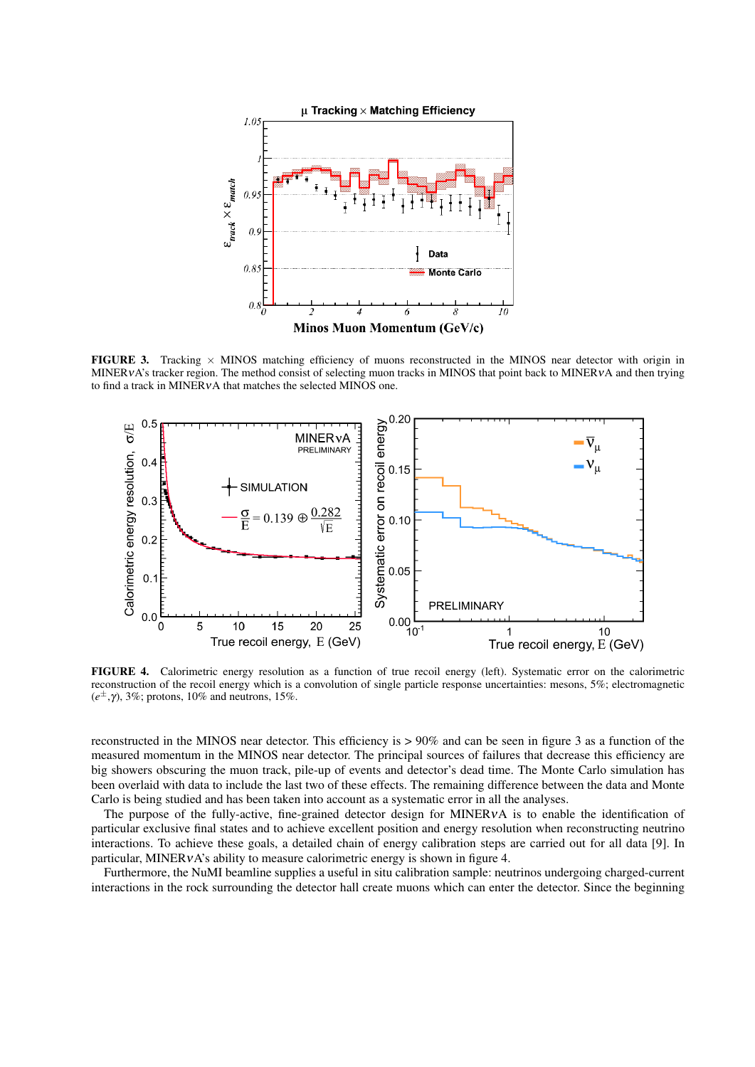

FIGURE 3. Tracking  $\times$  MINOS matching efficiency of muons reconstructed in the MINOS near detector with origin in MINERVA's tracker region. The method consist of selecting muon tracks in MINOS that point back to MINERVA and then trying to find a track in MINERνA that matches the selected MINOS one.



FIGURE 4. Calorimetric energy resolution as a function of true recoil energy (left). Systematic error on the calorimetric reconstruction of the recoil energy which is a convolution of single particle response uncertainties: mesons, 5%; electromagnetic (*e* <sup>±</sup>,γ), 3%; protons, 10% and neutrons, 15%.

reconstructed in the MINOS near detector. This efficiency is > 90% and can be seen in figure 3 as a function of the measured momentum in the MINOS near detector. The principal sources of failures that decrease this efficiency are big showers obscuring the muon track, pile-up of events and detector's dead time. The Monte Carlo simulation has been overlaid with data to include the last two of these effects. The remaining difference between the data and Monte Carlo is being studied and has been taken into account as a systematic error in all the analyses.

The purpose of the fully-active, fine-grained detector design for MINERνA is to enable the identification of particular exclusive final states and to achieve excellent position and energy resolution when reconstructing neutrino interactions. To achieve these goals, a detailed chain of energy calibration steps are carried out for all data [9]. In particular, MINERνA's ability to measure calorimetric energy is shown in figure 4.

Furthermore, the NuMI beamline supplies a useful in situ calibration sample: neutrinos undergoing charged-current interactions in the rock surrounding the detector hall create muons which can enter the detector. Since the beginning